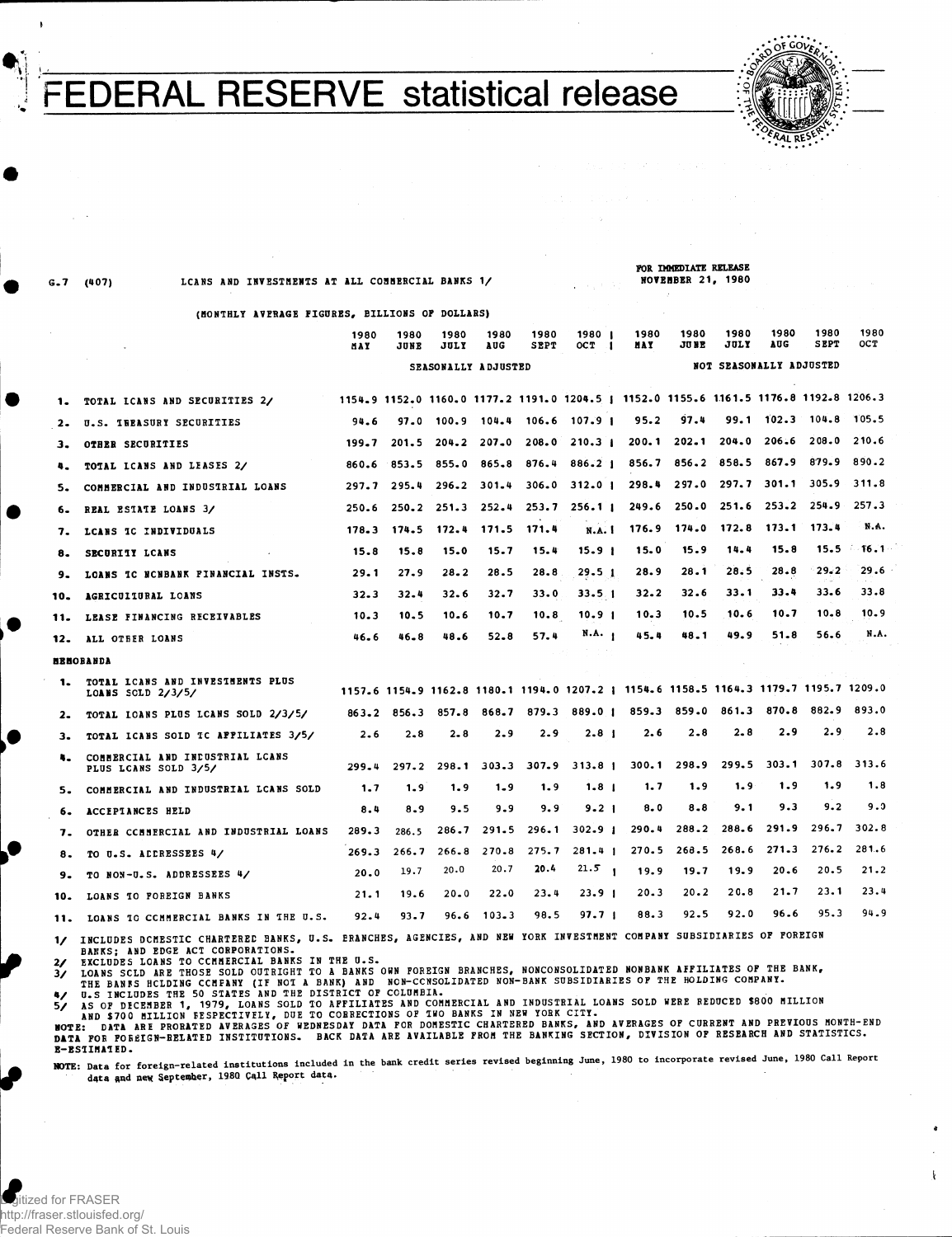**PERAL RESERVE** statistical release



V . U

G.7 (407) LCANS AND INVESTMENTS AT ALL COMMERCIAL BANKS 1/

FOR IMMEDIATE RELEASE NOVEMBER 21, 1980

1980

1980

1980

198 0

198 0

 $\pmb{\downarrow}$ 

(MONTHLY AVERAGE FIGURES, BILLIONS OF DOLLARS)

1090

1990

1980

1990<sup>\*</sup>

1990

 $1090 - 1$ 

1990

|     |                                                                                                                        | 1 J O V<br>MAY | 1 J O V<br>JUNE | ,,,,,<br>JULY       | 1 J U V<br>AUG | .<br><b>SEPT</b> | .<br>OC T<br>$\cdot$ 1                                                                | .<br>MAY | <br>JU NE               | JULY              | AUG           | <b>SEPT</b>            | <b>OCT</b> |
|-----|------------------------------------------------------------------------------------------------------------------------|----------------|-----------------|---------------------|----------------|------------------|---------------------------------------------------------------------------------------|----------|-------------------------|-------------------|---------------|------------------------|------------|
|     |                                                                                                                        |                |                 | SEASONALLY ADJUSTED |                |                  |                                                                                       |          | NOT SEASONALLY ADJUSTED |                   |               |                        |            |
| 1.  | TOTAL ICANS AND SECURITIES 2/                                                                                          |                |                 |                     |                |                  | 1154.9 1152.0 1160.0 1177.2 1191.0 1204.5   1152.0 1155.6 1161.5 1176.8 1192.8 1206.3 |          |                         |                   |               |                        |            |
| 2.  | U.S. IREASURY SECURITIES                                                                                               | 94.6           |                 |                     |                |                  | 97.0 100.9 104.4 106.6 107.9 1                                                        | 95.2     | 97.4                    |                   |               | $99.1$ $102.3$ $104.8$ | 105.5      |
| з.  | <b>OTHER SECURITIES</b>                                                                                                | 199.7          | $201 - 5$       | $204 - 2$           | $207 - 0$      |                  | $208.0$ $210.3$ i                                                                     |          | $200.1$ $202.1$         |                   | $204.0$ 206.6 | 208.0                  | 210.6      |
| 4.  | TOTAL LCANS AND LEASES 2/                                                                                              | 860.6          | 853.5           | 855.0               | 865.8          | 876.4            | 886.21                                                                                | 856.7    |                         | 856.2 858.5       | 867.9         | 879.9                  | 890.2      |
| 5.  | COMMERCIAL AND INDUSTRIAL LOANS                                                                                        | 297.7          | 295.4           | 296.2               | 301.4          | 306.0            | $312.0$ 1                                                                             | 298.4    |                         | 297.0 297.7       | 301.1         | 305.9                  | 311.8      |
| 6.  | REAL ESTATE LOANS 3/                                                                                                   | 250.6          | 250.2           | 251.3               | $252 - 4$      | 253.7            | 256.11                                                                                |          |                         | 249.6 250.0 251.6 |               | 253.2 254.9            | 257.3      |
| 7.  | LCANS IC INDIVIDUALS                                                                                                   | 178.3          | 174.5           | 172.4               | 171.5          | 171.4            | <b>N.A. I</b>                                                                         | 176.9    | 174.0                   | 172.8             | 173.1         | 173.4                  | N.A.       |
| 8.  | SECURITY LCANS                                                                                                         | 15.8           | 15.8            | 15.0                | 15.7           | 15.4             | 15.9 <sub>1</sub>                                                                     | 15.0     | 15.9                    | 14.4              | 15.8          | 15.5                   | - 16.1     |
| 9.  | LOANS IC NONBANK FINANCIAL INSTS.                                                                                      | 29.1           | 27.9            | $28 - 2$            | 28.5           | 28.8             | 29.5 <sub>1</sub>                                                                     | 28.9     | 28.1                    | 28.5              | 28.8          | 29.2                   | 29.6       |
| 10. | AGRICULIURAL LOANS                                                                                                     | $32 - 3$       | 32.4            | 32.6                | 32.7           | 33.0             | 33.5.1                                                                                | 32.2     | 32.6                    | 33.1              | 33.4          | 33.6                   | 33.8       |
| 11. | LEASE FINANCING RECEIVABLES                                                                                            | 10.3           | 10.5            | 10.6                | 10.7           | 10.8             | 10.9 1                                                                                | 10.3     | 10.5                    | 10.6              | 10.7          | $10 - 8$               | 10.9       |
| 12. | ALL OTHER LOANS                                                                                                        | 46.6           | $46 - 8$        | 48.6                | 52.8           | 57.4             | N.A. 1                                                                                | 45.4     | 48.1                    | 49.9              | 51.8          | 56.6                   | N.A.       |
|     | <b>HEMOBANDA</b>                                                                                                       |                |                 |                     |                |                  |                                                                                       |          |                         |                   |               |                        |            |
| 1.  | TOTAL ICANS AND INVESTMENTS PLUS<br>LOANS SCLD $2/3/5/$                                                                |                |                 |                     |                |                  | 1157.6 1154.9 1162.8 1180.1 1194.0 1207.2   1154.6 1158.5 1164.3 1179.7 1195.7 1209.0 |          |                         |                   |               |                        |            |
| 2.  | TOTAL IOANS PLUS LCANS SOLD 2/3/5/                                                                                     |                | 863.2 856.3     | 857.8               | 868.7          | 879.3            | 889.01                                                                                |          | 859.3 859.0             | 861.3             | 870.8         | 882.9                  | 893.0      |
| з.  | TOTAL ICANS SOLD TC APPILIATES 3/5/                                                                                    | 2.6            | 2.8             | $2 - 8$             | $2 - 9$        | 2.9              | $2 - 8$ 1                                                                             | 2.6      | 2.8                     | 2.8               | 2.9           | 2.9                    | 2.8        |
| 4.  | COMMERCIAL AND INDUSTRIAL LCANS<br>PLUS LCANS SOLD 3/5/                                                                | 299.4          | 297.2           | 298.1               |                |                  | 303.3 307.9 313.8 1                                                                   | 300.1    | 298.9                   | 299.5             | 303.1         | 307.8                  | 313.6      |
| 5.  | COMMERCIAL AND INDUSTRIAL LCANS SOLD                                                                                   | 1.7            | 1.9             | 1.9                 | $1 - 9$        | 1.9              | 1.8 <sub>1</sub>                                                                      | 1.7      | 1.9                     | 1.9               | 1.9           | 1.9                    | 1.8        |
| 6.  | ACCEPTANCES HELD                                                                                                       | 8.4            | 8.9             | 9.5                 | 9.9            | 9.9              | $9 - 21$                                                                              | 8.0      | 8.8                     | 9.1               | 9.3           | 9.2                    | 9.0        |
| 7.  | OTHER COMMERCIAL AND INDUSTRIAL LOANS                                                                                  | 289.3          | 286.5           | 286.7               | 291.5          | 296.1            | $302 - 91$                                                                            | 290.4    | 288.2                   | 288.6             | 291.9         | 296.7                  | 302.8      |
| 8.  | TO U.S. ACCRESSEES 4/                                                                                                  | 269.3          | 266.7           | 266.8               | 270.8          | 275.7            | $281.4$ 1                                                                             | 270.5    | 268.5                   | 268.6             | 271.3         | 276.2                  | 281.6      |
| 9.  | TO NON-U.S. ADDRESSEES 4/                                                                                              | 20.0           | 19.7            | 20.0                | 20.7           | 20.4             | 21.5<br>$\mathbf{I}$                                                                  | 19.9     | 19.7                    | 19.9              | 20.6          | 20.5                   | 21.2       |
| 10. | LOANS TO FOREIGN BANKS                                                                                                 | $21 - 1$       | 19.6            | $20 - 0$            | 22.0           | 23.4             | 23.9 <sub>1</sub>                                                                     | $20 - 3$ | $20 - 2$                | 20.8              | 21.7          | 23.1                   | 23.4       |
| 11. | LOANS TO CCMMERCIAL BANKS IN THE U.S.                                                                                  | 92.4           | 93.7            | 96.6                | $103 - 3$      | 98.5             | 97.7 <sub>1</sub>                                                                     | 88.3     | 92.5                    | 92.0              | 96.6          | 95.3                   | 94.9       |
|     | 1/ INCLUDES OCMESTIC CHARTERED BANKS, U.S. ERANCHES, AGENCIES, AND NEW YORK INVESTMENT COMPANY SUBSIDIARIES OF FOREIGN |                |                 |                     |                |                  |                                                                                       |          |                         |                   |               |                        |            |

BARKS; AND EDGE ACT CORPORATIONS.<br>2/ EXCLUDES LOANS TO CCHEPORATIONS. IN THE U.S.<br>3/ LOANS SCLD ARE THOSE SOLD OUTRIGHT TO A BANKS OWN FOREIGN BRANCHES, NONCONSOLIDATED NONBANK AFFILIATES OF THE BANK,<br>THE BANKS HCLDING CCH B-BSTIMATED .

NOTE: Data for foreign-related institutions included in the bank credit series revised beginning June, 1980 to incorporate revised June, 1980 Call Report data and new September, 1980 Call Report data.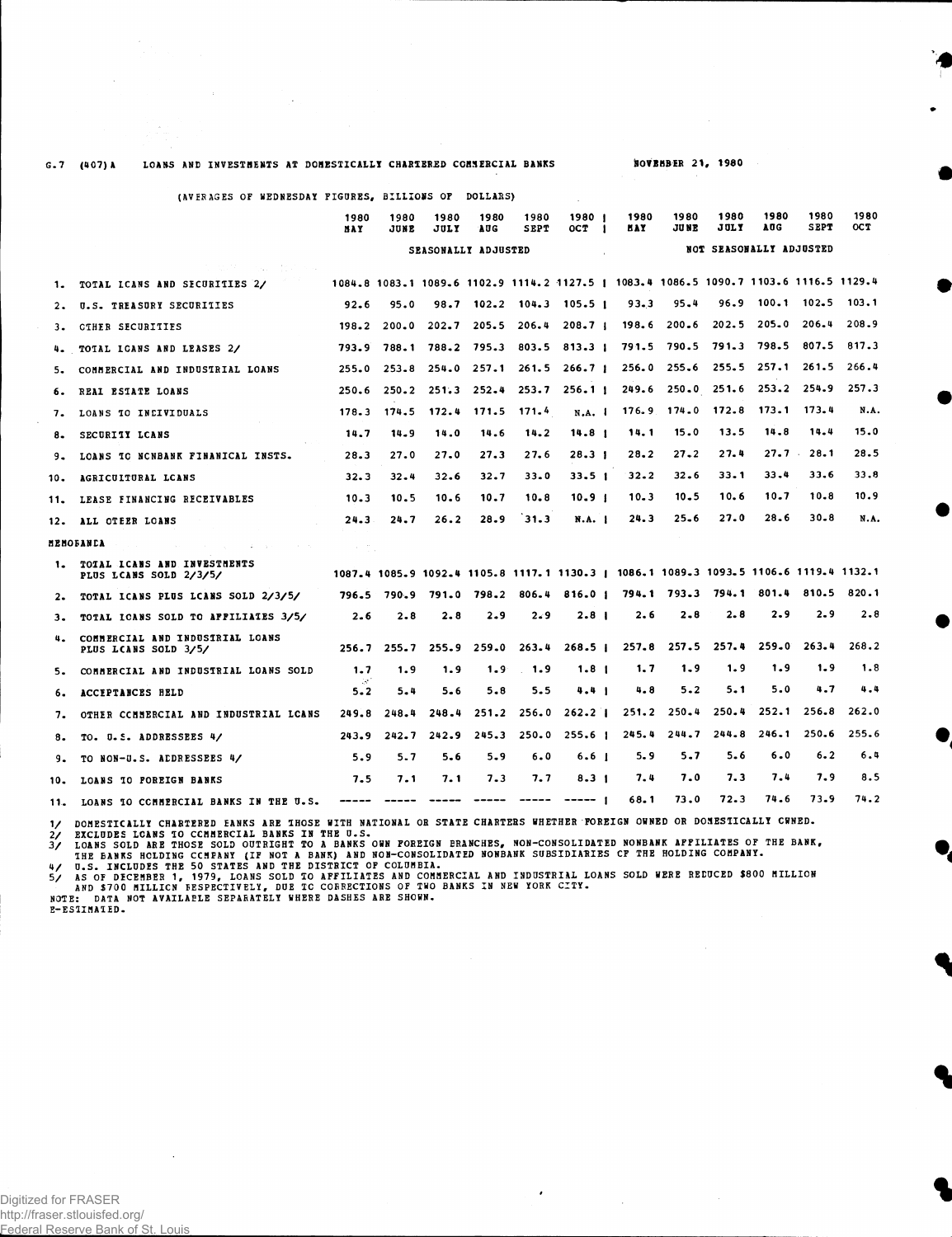## G.7 (407)A LOANS AND INVESTMENTS AT DOMESTICALLY CHARTERED COMMERCIAL BANKS

**NOVEMBER 21, 1980** 

|       | (AVERAGES OF WEDNESDAY FIGURES, BILLIONS OF DOLLARS)    |                   |              |              |                        |              |                                                                                       |              |                   |                         |                    |                     |             |
|-------|---------------------------------------------------------|-------------------|--------------|--------------|------------------------|--------------|---------------------------------------------------------------------------------------|--------------|-------------------|-------------------------|--------------------|---------------------|-------------|
|       |                                                         | 1980<br>MAY       | 1980<br>JUNE | 1980<br>JULY | 1980<br><b>AUG</b>     | 1980<br>SEPT | 1980 1<br>OCT 1                                                                       | 1980<br>MAY. | 1980<br>JU NE     | 1980<br>JULY            | 1980<br><b>AUG</b> | 1980<br><b>SEPT</b> | 1980<br>OCT |
|       |                                                         |                   |              |              | SEASONALLY ADJUSTED    |              | <b>College</b>                                                                        |              |                   | NOT SEASONALLY ADJUSTED |                    |                     |             |
|       | the state of the control of the season                  |                   |              |              |                        |              |                                                                                       |              |                   |                         |                    |                     |             |
| 1.    | TOTAL ICANS AND SECURITIES 2/                           |                   |              |              |                        |              | 1084.8 1083.1 1089.6 1102.9 1114.2 1127.5   1083.4 1086.5 1090.7 1103.6 1116.5 1129.4 |              |                   |                         |                    |                     |             |
| 2.    | U.S. TREASURY SECURITIES                                | 92.6              | 95.0         |              | $98.7$ $102.2$ $104.3$ |              | 105.5 1                                                                               | 93.3         | 95.4              | 96.9                    | 100.1              | 102.5               | 103.1       |
| 3.    | CIHER SECURITIES                                        | 198.2             | 200.0        | 202.7        | 205.5                  | 206.4        | $208 - 71$                                                                            | 198.6        | $200 - 6$         | 202.5                   | 205.0              | 206.4               | 208.9       |
| 4.    | TOTAL ICANS AND LEASES 2/                               | 793.9             |              |              | 788.1 788.2 795.3      |              | 803.5 813.3   791.5 790.5 791.3 798.5                                                 |              |                   |                         |                    | 807.5               | 817.3       |
| 5.    | COMMERCIAL AND INDUSTRIAL LOANS                         | 255.0             | 253.8        |              | $254.0$ $257.1$        | 261.5        | 266.7 <sub>1</sub>                                                                    |              | $256.0$ $255.6$   | 255.5                   | 257.1              | 261.5               | 266.4       |
| 6.    | REAL ESTATE LOANS                                       | 250.6             | 250.2        |              | $251.3$ $252.4$        | 253.7        | 256.11                                                                                |              | 249.6 250.0 251.6 |                         | 253.2              | 254.9               | 257.3       |
| 7.    | LOANS TO INCIVIDUALS                                    | 178.3             | 174.5        |              | 172.4 171.5 171.4      |              | N.A.                                                                                  |              | $176.9$ $174.0$   | 172.8                   | 173.1              | 173.4               | N.A.        |
| 8.    | SECURITY LCANS                                          | 14.7              | 14.9         | 14.0         | 14.6                   | 14.2         | 14.8 <sub>1</sub>                                                                     | 14.1         | 15.0              | 13.5                    | 14.8               | 14.4                | 15.0        |
| 9.    | LOANS TO NONBANK FINANICAL INSTS.                       | 28.3              | 27.0         | 27.0         | 27.3                   | 27.6         | $28-31$                                                                               | 28.2         | $27 - 2$          | 27.4                    | $27.7$ .           | 28.1                | 28.5        |
| 10.   | AGRICULTURAL LCANS                                      | 32.3              | $32 - 4$     | 32.6         | 32.7                   | $33 - 0$     | 33.5 <sub>1</sub>                                                                     | $32 - 2$     | 32.6              | 33.1                    | 33.4               | 33.6                | 33.8        |
| 11.   | LEASE FINANCING RECEIVABLES                             | $10 - 3$          | 10.5         | 10.6         | 10.7                   | 10.8         | 10.9 <sub>1</sub>                                                                     | $10 - 3$     | $10 - 5$          | 10.6                    | 10.7               | 10.8                | 10.9        |
|       | 12. ALL OTEER LOANS                                     | 24.3              | 24.7         | 26.2         | 28.9                   | 31.3         | N.A. 1                                                                                | 24.3         | $25 - 6$          | 27.0                    | 28.6               | $30 - 8$            | N.A.        |
|       | MENOFANCA                                               | $\sim 10^{-12}$ . |              |              |                        |              |                                                                                       |              | $\sim 10^{-1}$    |                         |                    |                     |             |
| 1.    | TOIAL ICANS AND INVESTMENTS<br>PLUS LCANS SOLD 2/3/5/   |                   |              |              |                        |              | 1087.4 1085.9 1092.4 1105.8 1117.1 1130.3   1086.1 1089.3 1093.5 1106.6 1119.4 1132.1 |              |                   |                         |                    |                     |             |
| $2 -$ | TOTAL ICANS PLUS LCANS SOLD 2/3/5/                      | 796.5             | 790.9        |              | 791.0 798.2            | 806.4        | 816.01                                                                                |              | $794.1$ $793.3$   | 794.1                   | 801.4              | 810.5               | 820.1       |
| з.    | TOTAL ICANS SOLD TO AFFILIATES 3/5/                     | 2.6               | $2 - 8$      | 2.8          | 2.9                    | 2.9          | 2.8 <sub>1</sub>                                                                      | 2.6          | 2.8               | 2.8                     | 2.9                | 2.9                 | 2.8         |
| 4.    | COMMERCIAL AND INDUSIRIAL LOANS<br>PLUS LCANS SOLD 3/5/ | 256.7             | 255.7        | 255.9        | 259.0                  | 263.4        | 268.5 <sub>1</sub>                                                                    |              | $257.8$ 257.5     | 257.4                   | $259 - 0$          | 263.4               | 268.2       |
| 5.    | COMMERCIAL AND INDUSTRIAL LOANS SOLD                    | 1.7               | 1.9          | 1.9          | 1.9                    | 1.9          | 1.8 <sub>1</sub>                                                                      | 1.7          | 1.9               | 1.9                     | 1.9                | 1.9                 | 1.8         |
| 6.    | ACCEPTANCES HELD                                        | 148<br>$5 - 2$    | 5.4          | 5.6          | 5.8                    | 5.5          | 4.41                                                                                  | 4.8          | $5 - 2$           | 5.1                     | 5.0                | 4.7                 | 4.4         |
| 7.    | OTHER COMMERCIAL AND INDUSTRIAL LOANS                   | 249.8             | 248.4        | 248.4        | 251.2                  | 256.0        | $262 - 21$                                                                            |              | $251.2$ $250.4$   | 250.4                   | 252.1              | 256.8               | 262.0       |
| 8.    | TO. U.S. ADDRESSEES 4/                                  | 243.9             | 242.7        | 242.9        | 245.3                  |              | $250.0$ $255.6$ 1                                                                     | 245.4        | 244.7             | 244.8                   | 246.1              | 250.6               | 255.6       |
| 9.    | TO NON-U.S. ADDRESSEES 4/                               | 5.9               | 5.7          | $5 - 6$      | 5.9                    | 6.0          | 6.6 <sub>1</sub>                                                                      | 5.9          | 5.7               | 5.6                     | 6.0                | 6.2                 | 6.4         |
|       | 10. LOANS TO POREIGN BANKS                              | 7.5               | 7.1          | 7. 1         | $7 - 3$                | 7.7          | $8 - 31$                                                                              | 7.4          | 7.0               | 7.3                     | 7.4                | 7.9                 | 8.5         |

11. LOANS 10 CCMMERCIAL BANKS IN THE U.S. <del>-----</del> ----- ----- ----- ----- ----- | 68.1 73.0 72.3 74.6 73.9 74.2

1/ DOMESTICALLY CHARTERED EANKS ARE THOSE WITH BATIONAL OR STATE CHARTERS WHETHER POREIGN OWNED OR DOMESTICALLY CWNED.<br>2/ EXCLUDES LOANS TO CCMMERCIAL BANKS IN THE U.S.<br>3/ LOANS SOLD ARE THOSE SOLD OUTRIGHT TO A BANKS OWN